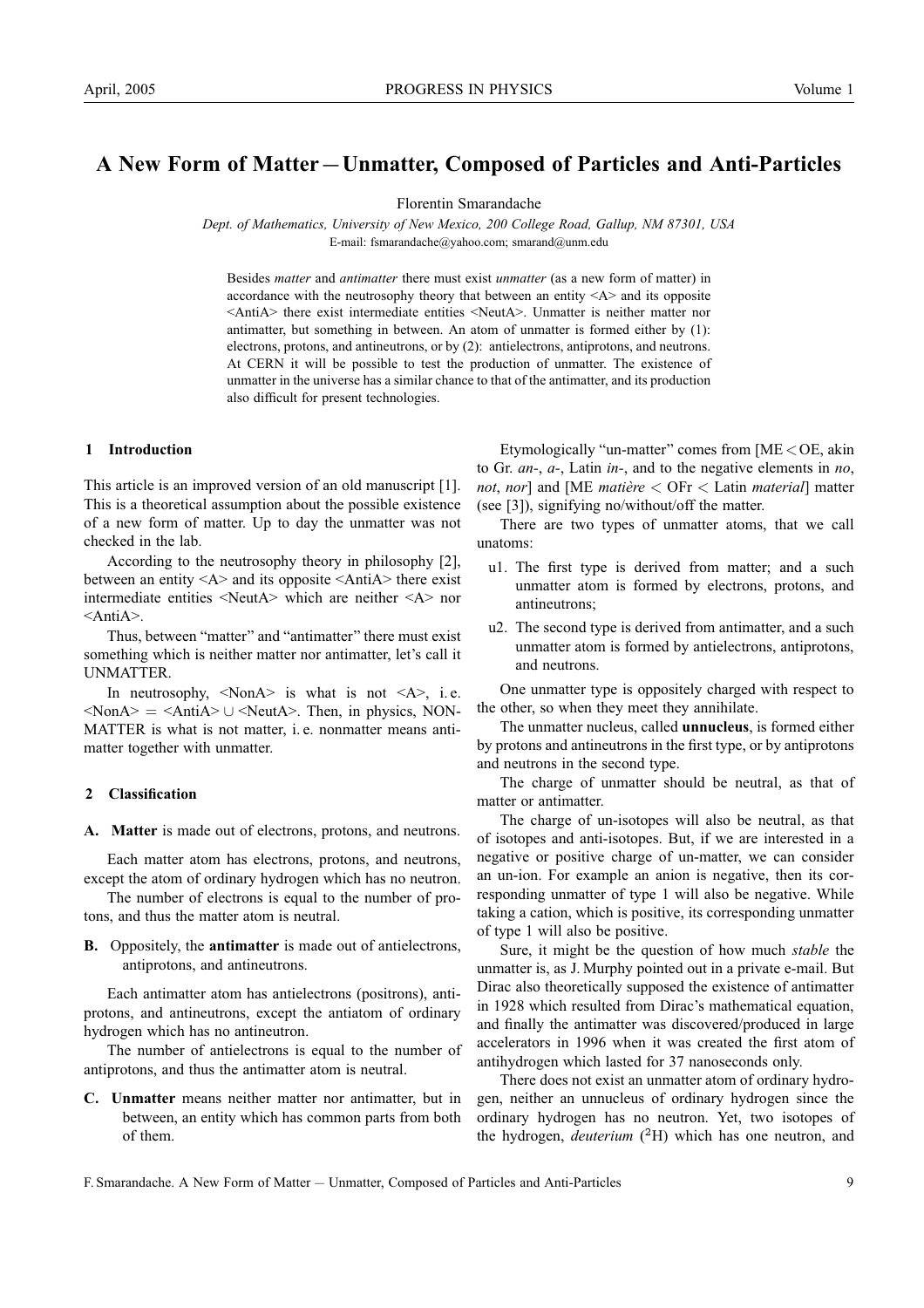# **A New Form of Matter — Unmatter, Composed of Particles and Anti-Particles**

Florentin Smarandache

*Dept. of Mathematics, University of New Mexico, 200 College Road, Gallup, NM 87301, USA* E-mail: fsmarandache@yahoo.com; smarand@unm.edu

Besides *matter* and *antimatter* there must exist *unmatter* (as a new form of matter) in accordance with the neutrosophy theory that between an entity <A> and its opposite <AntiA> there exist intermediate entities <NeutA>. Unmatter is neither matter nor antimatter, but something in between. An atom of unmatter is formed either by (1): electrons, protons, and antineutrons, or by (2): antielectrons, antiprotons, and neutrons. At CERN it will be possible to test the production of unmatter. The existence of unmatter in the universe has a similar chance to that of the antimatter, and its production also difficult for present technologies.

# **1 Introduction**

This article is an improved version of an old manuscript [1]. This is a theoretical assumption about the possible existence of a new form of matter. Up to day the unmatter was not checked in the lab.

According to the neutrosophy theory in philosophy [2], between an entity <A> and its opposite <AntiA> there exist intermediate entities <NeutA> which are neither <A> nor  $<$ Anti $A>$ 

Thus, between "matter" and "antimatter" there must exist something which is neither matter nor antimatter, let's call it UNMATTER.

In neutrosophy,  $\langle NonA \rangle$  is what is not  $\langle A \rangle$ , i.e.  $\langle \text{NonA} \rangle$  =  $\langle \text{AntiA} \rangle$  ∪  $\langle \text{NeutA} \rangle$ . Then, in physics, NON-MATTER is what is not matter, i. e. nonmatter means antimatter together with unmatter.

### **2 Classification**

**A. Matter** is made out of electrons, protons, and neutrons.

Each matter atom has electrons, protons, and neutrons, except the atom of ordinary hydrogen which has no neutron.

The number of electrons is equal to the number of protons, and thus the matter atom is neutral.

**B.** Oppositely, the **antimatter** is made out of antielectrons, antiprotons, and antineutrons.

Each antimatter atom has antielectrons (positrons), antiprotons, and antineutrons, except the antiatom of ordinary hydrogen which has no antineutron.

The number of antielectrons is equal to the number of antiprotons, and thus the antimatter atom is neutral.

**C. Unmatter** means neither matter nor antimatter, but in between, an entity which has common parts from both of them.

Etymologically "un-matter" comes from  $[ME <$  OE, akin to Gr. *an-*, *a-*, Latin *in-*, and to the negative elements in *no*, *not*, *nor*] and [ME *matiere `* < OFr < Latin *material*] matter (see [3]), signifying no/without/off the matter.

There are two types of unmatter atoms, that we call unatoms:

- u1. The first type is derived from matter; and a such unmatter atom is formed by electrons, protons, and antineutrons;
- u2. The second type is derived from antimatter, and a such unmatter atom is formed by antielectrons, antiprotons, and neutrons.

One unmatter type is oppositely charged with respect to the other, so when they meet they annihilate.

The unmatter nucleus, called **unnucleus**, is formed either by protons and antineutrons in the first type, or by antiprotons and neutrons in the second type.

The charge of unmatter should be neutral, as that of matter or antimatter.

The charge of un-isotopes will also be neutral, as that of isotopes and anti-isotopes. But, if we are interested in a negative or positive charge of un-matter, we can consider an un-ion. For example an anion is negative, then its corresponding unmatter of type 1 will also be negative. While taking a cation, which is positive, its corresponding unmatter of type 1 will also be positive.

Sure, it might be the question of how much *stable* the unmatter is, as J. Murphy pointed out in a private e-mail. But Dirac also theoretically supposed the existence of antimatter in 1928 which resulted from Dirac's mathematical equation, and finally the antimatter was discovered/produced in large accelerators in 1996 when it was created the first atom of antihydrogen which lasted for 37 nanoseconds only.

There does not exist an unmatter atom of ordinary hydrogen, neither an unnucleus of ordinary hydrogen since the ordinary hydrogen has no neutron. Yet, two isotopes of the hydrogen, *deuterium* ( <sup>2</sup>H) which has one neutron, and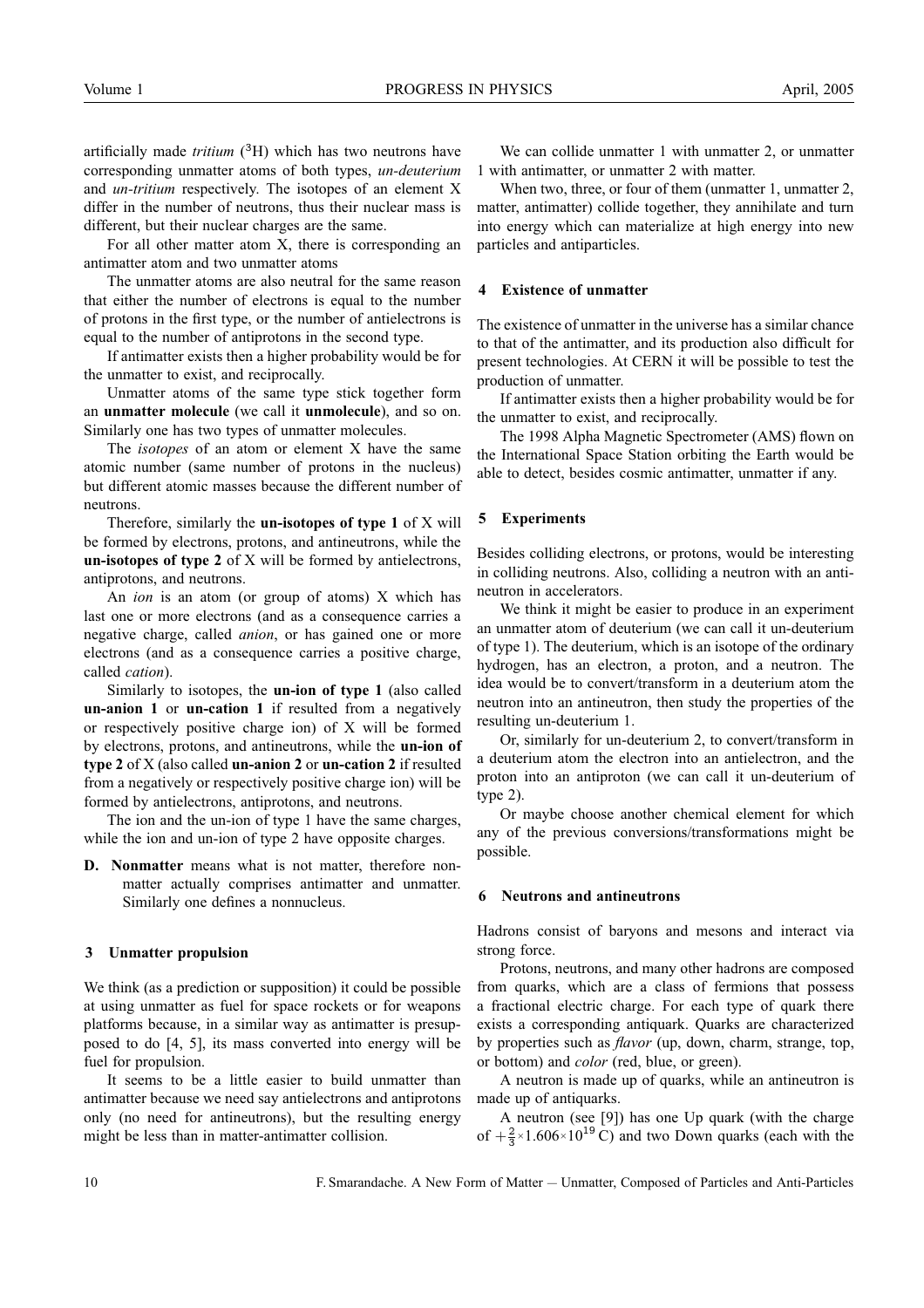artificially made *tritium* ( <sup>3</sup>H) which has two neutrons have corresponding unmatter atoms of both types, *un-deuterium* and *un-tritium* respectively. The isotopes of an element X differ in the number of neutrons, thus their nuclear mass is different, but their nuclear charges are the same.

For all other matter atom X, there is corresponding an antimatter atom and two unmatter atoms

The unmatter atoms are also neutral for the same reason that either the number of electrons is equal to the number of protons in the first type, or the number of antielectrons is equal to the number of antiprotons in the second type.

If antimatter exists then a higher probability would be for the unmatter to exist, and reciprocally.

Unmatter atoms of the same type stick together form an **unmatter molecule** (we call it **unmolecule**), and so on. Similarly one has two types of unmatter molecules.

The *isotopes* of an atom or element X have the same atomic number (same number of protons in the nucleus) but different atomic masses because the different number of neutrons.

Therefore, similarly the **un-isotopes of type 1** of X will be formed by electrons, protons, and antineutrons, while the **un-isotopes of type 2** of X will be formed by antielectrons, antiprotons, and neutrons.

An *ion* is an atom (or group of atoms) X which has last one or more electrons (and as a consequence carries a negative charge, called *anion*, or has gained one or more electrons (and as a consequence carries a positive charge, called *cation*).

Similarly to isotopes, the **un-ion of type 1** (also called **un-anion 1** or **un-cation 1** if resulted from a negatively or respectively positive charge ion) of X will be formed by electrons, protons, and antineutrons, while the **un-ion of type 2** of X (also called **un-anion 2** or **un-cation 2** if resulted from a negatively or respectively positive charge ion) will be formed by antielectrons, antiprotons, and neutrons.

The ion and the un-ion of type 1 have the same charges, while the ion and un-ion of type 2 have opposite charges.

**D. Nonmatter** means what is not matter, therefore nonmatter actually comprises antimatter and unmatter. Similarly one defines a nonnucleus.

#### **3 Unmatter propulsion**

We think (as a prediction or supposition) it could be possible at using unmatter as fuel for space rockets or for weapons platforms because, in a similar way as antimatter is presupposed to do [4, 5], its mass converted into energy will be fuel for propulsion.

It seems to be a little easier to build unmatter than antimatter because we need say antielectrons and antiprotons only (no need for antineutrons), but the resulting energy might be less than in matter-antimatter collision.

We can collide unmatter 1 with unmatter 2, or unmatter 1 with antimatter, or unmatter 2 with matter.

When two, three, or four of them (unmatter 1, unmatter 2, matter, antimatter) collide together, they annihilate and turn into energy which can materialize at high energy into new particles and antiparticles.

### **4 Existence of unmatter**

The existence of unmatter in the universe has a similar chance to that of the antimatter, and its production also difficult for present technologies. At CERN it will be possible to test the production of unmatter.

If antimatter exists then a higher probability would be for the unmatter to exist, and reciprocally.

The 1998 Alpha Magnetic Spectrometer (AMS) flown on the International Space Station orbiting the Earth would be able to detect, besides cosmic antimatter, unmatter if any.

# **5 Experiments**

Besides colliding electrons, or protons, would be interesting in colliding neutrons. Also, colliding a neutron with an antineutron in accelerators.

We think it might be easier to produce in an experiment an unmatter atom of deuterium (we can call it un-deuterium of type 1). The deuterium, which is an isotope of the ordinary hydrogen, has an electron, a proton, and a neutron. The idea would be to convert/transform in a deuterium atom the neutron into an antineutron, then study the properties of the resulting un-deuterium 1.

Or, similarly for un-deuterium 2, to convert/transform in a deuterium atom the electron into an antielectron, and the proton into an antiproton (we can call it un-deuterium of type 2).

Or maybe choose another chemical element for which any of the previous conversions/transformations might be possible.

#### **6 Neutrons and antineutrons**

Hadrons consist of baryons and mesons and interact via strong force.

Protons, neutrons, and many other hadrons are composed from quarks, which are a class of fermions that possess a fractional electric charge. For each type of quark there exists a corresponding antiquark. Quarks are characterized by properties such as *flavor* (up, down, charm, strange, top, or bottom) and *color* (red, blue, or green).

A neutron is made up of quarks, while an antineutron is made up of antiquarks.

A neutron (see [9]) has one Up quark (with the charge of  $+\frac{2}{3} \times 1.606 \times 10^{19}$  C) and two Down quarks (each with the